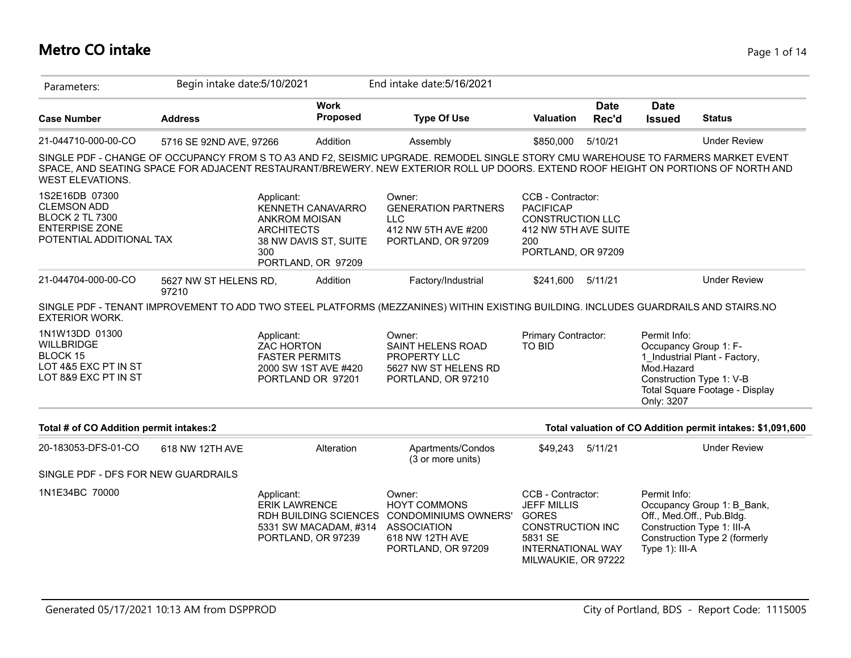## **Metro CO intake** Page 1 of 14

| Parameters:                                                                                                         | Begin intake date: 5/10/2021   |                                                                                                                                    | End intake date: 5/16/2021                                                                                                                                                                                                                                             |                                                                                                                                                  |                      |                                          |                                                                                                                        |
|---------------------------------------------------------------------------------------------------------------------|--------------------------------|------------------------------------------------------------------------------------------------------------------------------------|------------------------------------------------------------------------------------------------------------------------------------------------------------------------------------------------------------------------------------------------------------------------|--------------------------------------------------------------------------------------------------------------------------------------------------|----------------------|------------------------------------------|------------------------------------------------------------------------------------------------------------------------|
| <b>Case Number</b>                                                                                                  | <b>Address</b>                 | <b>Work</b><br><b>Proposed</b>                                                                                                     | <b>Type Of Use</b>                                                                                                                                                                                                                                                     | <b>Valuation</b>                                                                                                                                 | <b>Date</b><br>Rec'd | <b>Date</b><br><b>Issued</b>             | <b>Status</b>                                                                                                          |
| 21-044710-000-00-CO                                                                                                 | 5716 SE 92ND AVE, 97266        | Addition                                                                                                                           | Assembly                                                                                                                                                                                                                                                               | \$850,000                                                                                                                                        | 5/10/21              |                                          | <b>Under Review</b>                                                                                                    |
| <b>WEST ELEVATIONS.</b>                                                                                             |                                |                                                                                                                                    | SINGLE PDF - CHANGE OF OCCUPANCY FROM S TO A3 AND F2, SEISMIC UPGRADE. REMODEL SINGLE STORY CMU WAREHOUSE TO FARMERS MARKET EVENT<br>SPACE, AND SEATING SPACE FOR ADJACENT RESTAURANT/BREWERY. NEW EXTERIOR ROLL UP DOORS. EXTEND ROOF HEIGHT ON PORTIONS OF NORTH AND |                                                                                                                                                  |                      |                                          |                                                                                                                        |
| 1S2E16DB 07300<br><b>CLEMSON ADD</b><br><b>BLOCK 2 TL 7300</b><br><b>ENTERPISE ZONE</b><br>POTENTIAL ADDITIONAL TAX |                                | Applicant:<br>KENNETH CANAVARRO<br><b>ANKROM MOISAN</b><br><b>ARCHITECTS</b><br>38 NW DAVIS ST, SUITE<br>300<br>PORTLAND, OR 97209 | Owner:<br><b>GENERATION PARTNERS</b><br><b>LLC</b><br>412 NW 5TH AVE #200<br>PORTLAND, OR 97209                                                                                                                                                                        | CCB - Contractor:<br><b>PACIFICAP</b><br><b>CONSTRUCTION LLC</b><br>412 NW 5TH AVE SUITE<br>200<br>PORTLAND, OR 97209                            |                      |                                          |                                                                                                                        |
| 21-044704-000-00-CO                                                                                                 | 5627 NW ST HELENS RD,<br>97210 | Addition                                                                                                                           | Factory/Industrial                                                                                                                                                                                                                                                     | \$241,600 5/11/21                                                                                                                                |                      |                                          | <b>Under Review</b>                                                                                                    |
| <b>EXTERIOR WORK.</b>                                                                                               |                                |                                                                                                                                    | SINGLE PDF - TENANT IMPROVEMENT TO ADD TWO STEEL PLATFORMS (MEZZANINES) WITHIN EXISTING BUILDING. INCLUDES GUARDRAILS AND STAIRS.NO                                                                                                                                    |                                                                                                                                                  |                      |                                          |                                                                                                                        |
| 1N1W13DD 01300<br><b>WILLBRIDGE</b><br>BLOCK 15<br>LOT 4&5 EXC PT IN ST<br>LOT 8&9 EXC PT IN ST                     |                                | Applicant:<br><b>ZAC HORTON</b><br><b>FASTER PERMITS</b><br>2000 SW 1ST AVE #420<br>PORTLAND OR 97201                              | Owner:<br>SAINT HELENS ROAD<br>PROPERTY LLC<br>5627 NW ST HELENS RD<br>PORTLAND, OR 97210                                                                                                                                                                              | Primary Contractor:<br>TO BID                                                                                                                    |                      | Permit Info:<br>Mod.Hazard<br>Only: 3207 | Occupancy Group 1: F-<br>1 Industrial Plant - Factory,<br>Construction Type 1: V-B<br>Total Square Footage - Display   |
| Total # of CO Addition permit intakes:2                                                                             |                                |                                                                                                                                    |                                                                                                                                                                                                                                                                        |                                                                                                                                                  |                      |                                          | Total valuation of CO Addition permit intakes: \$1,091,600                                                             |
| 20-183053-DFS-01-CO                                                                                                 | 618 NW 12TH AVE                | Alteration                                                                                                                         | Apartments/Condos<br>(3 or more units)                                                                                                                                                                                                                                 | \$49,243                                                                                                                                         | 5/11/21              |                                          | <b>Under Review</b>                                                                                                    |
| SINGLE PDF - DFS FOR NEW GUARDRAILS                                                                                 |                                |                                                                                                                                    |                                                                                                                                                                                                                                                                        |                                                                                                                                                  |                      |                                          |                                                                                                                        |
| 1N1E34BC 70000                                                                                                      |                                | Applicant:<br><b>ERIK LAWRENCE</b><br>RDH BUILDING SCIENCES<br>5331 SW MACADAM, #314<br>PORTLAND, OR 97239                         | Owner:<br><b>HOYT COMMONS</b><br><b>CONDOMINIUMS OWNERS'</b><br><b>ASSOCIATION</b><br>618 NW 12TH AVE<br>PORTLAND, OR 97209                                                                                                                                            | CCB - Contractor:<br><b>JEFF MILLIS</b><br><b>GORES</b><br><b>CONSTRUCTION INC</b><br>5831 SE<br><b>INTERNATIONAL WAY</b><br>MILWAUKIE, OR 97222 |                      | Permit Info:<br>Type 1): III-A           | Occupancy Group 1: B Bank,<br>Off., Med.Off., Pub.Bldg.<br>Construction Type 1: III-A<br>Construction Type 2 (formerly |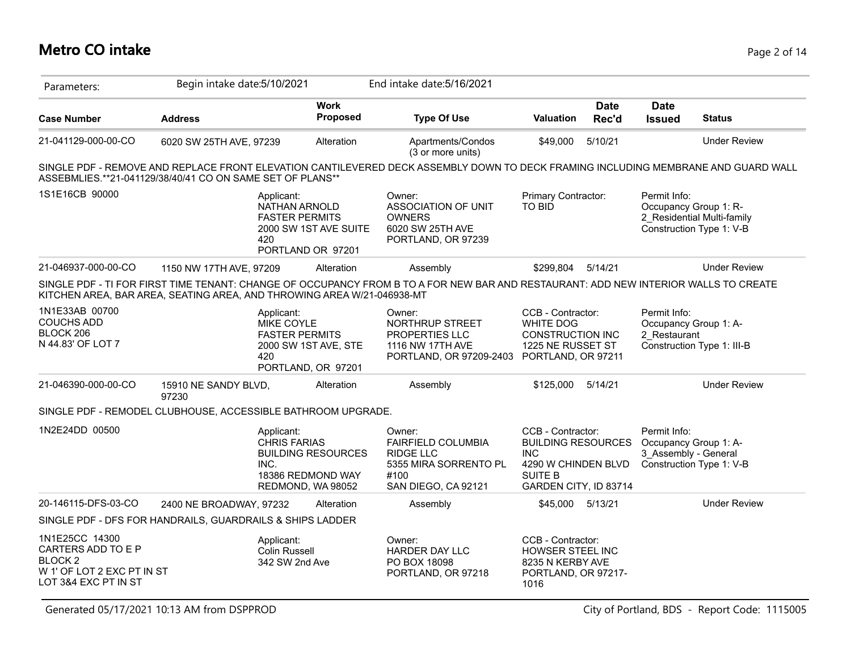## **Metro CO intake** Page 2 of 14

| Parameters:                                                                                                      | Begin intake date: 5/10/2021                                           |                                                                                                    | End intake date: 5/16/2021                                                                                                          |                                                                                                                                |                      |                                                               |                                                                                 |
|------------------------------------------------------------------------------------------------------------------|------------------------------------------------------------------------|----------------------------------------------------------------------------------------------------|-------------------------------------------------------------------------------------------------------------------------------------|--------------------------------------------------------------------------------------------------------------------------------|----------------------|---------------------------------------------------------------|---------------------------------------------------------------------------------|
| <b>Case Number</b>                                                                                               | <b>Address</b>                                                         | <b>Work</b><br>Proposed                                                                            | <b>Type Of Use</b>                                                                                                                  | <b>Valuation</b>                                                                                                               | <b>Date</b><br>Rec'd | <b>Date</b><br><b>Issued</b>                                  | <b>Status</b>                                                                   |
| 21-041129-000-00-CO                                                                                              | 6020 SW 25TH AVE, 97239                                                | Alteration                                                                                         | Apartments/Condos<br>(3 or more units)                                                                                              | \$49,000                                                                                                                       | 5/10/21              |                                                               | <b>Under Review</b>                                                             |
|                                                                                                                  | ASSEBMLIES.**21-041129/38/40/41 CO ON SAME SET OF PLANS**              |                                                                                                    | SINGLE PDF - REMOVE AND REPLACE FRONT ELEVATION CANTILEVERED DECK ASSEMBLY DOWN TO DECK FRAMING INCLUDING MEMBRANE AND GUARD WALL   |                                                                                                                                |                      |                                                               |                                                                                 |
| 1S1E16CB 90000                                                                                                   | 420                                                                    | Applicant:<br>NATHAN ARNOLD<br><b>FASTER PERMITS</b><br>2000 SW 1ST AVE SUITE<br>PORTLAND OR 97201 | Owner:<br><b>ASSOCIATION OF UNIT</b><br><b>OWNERS</b><br>6020 SW 25TH AVE<br>PORTLAND, OR 97239                                     | Primary Contractor:<br>TO BID                                                                                                  |                      | Permit Info:                                                  | Occupancy Group 1: R-<br>2 Residential Multi-family<br>Construction Type 1: V-B |
| 21-046937-000-00-CO                                                                                              | 1150 NW 17TH AVE, 97209                                                | Alteration                                                                                         | Assembly                                                                                                                            | \$299.804                                                                                                                      | 5/14/21              |                                                               | <b>Under Review</b>                                                             |
|                                                                                                                  | KITCHEN AREA, BAR AREA, SEATING AREA, AND THROWING AREA W/21-046938-MT |                                                                                                    | SINGLE PDF - TI FOR FIRST TIME TENANT: CHANGE OF OCCUPANCY FROM B TO A FOR NEW BAR AND RESTAURANT: ADD NEW INTERIOR WALLS TO CREATE |                                                                                                                                |                      |                                                               |                                                                                 |
| 1N1E33AB 00700<br><b>COUCHS ADD</b><br>BLOCK 206<br>N 44.83' OF LOT 7                                            | 420                                                                    | Applicant:<br>MIKE COYLE<br><b>FASTER PERMITS</b><br>2000 SW 1ST AVE, STE<br>PORTLAND, OR 97201    | Owner:<br>NORTHRUP STREET<br>PROPERTIES LLC<br>1116 NW 17TH AVE<br>PORTLAND, OR 97209-2403 PORTLAND, OR 97211                       | CCB - Contractor:<br><b>WHITE DOG</b><br>CONSTRUCTION INC<br>1225 NE RUSSET ST                                                 |                      | Permit Info:<br>2 Restaurant                                  | Occupancy Group 1: A-<br>Construction Type 1: III-B                             |
| 21-046390-000-00-CO                                                                                              | 15910 NE SANDY BLVD,<br>97230                                          | Alteration                                                                                         | Assembly                                                                                                                            | \$125,000                                                                                                                      | 5/14/21              |                                                               | <b>Under Review</b>                                                             |
|                                                                                                                  | SINGLE PDF - REMODEL CLUBHOUSE, ACCESSIBLE BATHROOM UPGRADE.           |                                                                                                    |                                                                                                                                     |                                                                                                                                |                      |                                                               |                                                                                 |
| 1N2E24DD 00500                                                                                                   | INC.                                                                   | Applicant:<br>CHRIS FARIAS<br><b>BUILDING RESOURCES</b><br>18386 REDMOND WAY<br>REDMOND, WA 98052  | Owner:<br>FAIRFIELD COLUMBIA<br><b>RIDGE LLC</b><br>5355 MIRA SORRENTO PL<br>#100<br>SAN DIEGO, CA 92121                            | CCB - Contractor:<br><b>BUILDING RESOURCES</b><br><b>INC</b><br>4290 W CHINDEN BLVD<br><b>SUITE B</b><br>GARDEN CITY, ID 83714 |                      | Permit Info:<br>Occupancy Group 1: A-<br>3 Assembly - General | Construction Type 1: V-B                                                        |
| 20-146115-DFS-03-CO                                                                                              | 2400 NE BROADWAY, 97232                                                | Alteration                                                                                         | Assembly                                                                                                                            | \$45.000                                                                                                                       | 5/13/21              |                                                               | <b>Under Review</b>                                                             |
|                                                                                                                  | SINGLE PDF - DFS FOR HANDRAILS, GUARDRAILS & SHIPS LADDER              |                                                                                                    |                                                                                                                                     |                                                                                                                                |                      |                                                               |                                                                                 |
| 1N1E25CC 14300<br>CARTERS ADD TO E P<br>BLOCK <sub>2</sub><br>W 1' OF LOT 2 EXC PT IN ST<br>LOT 3&4 EXC PT IN ST |                                                                        | Applicant:<br><b>Colin Russell</b><br>342 SW 2nd Ave                                               | Owner:<br><b>HARDER DAY LLC</b><br>PO BOX 18098<br>PORTLAND, OR 97218                                                               | CCB - Contractor:<br>HOWSER STEEL INC<br>8235 N KERBY AVE<br>PORTLAND, OR 97217-<br>1016                                       |                      |                                                               |                                                                                 |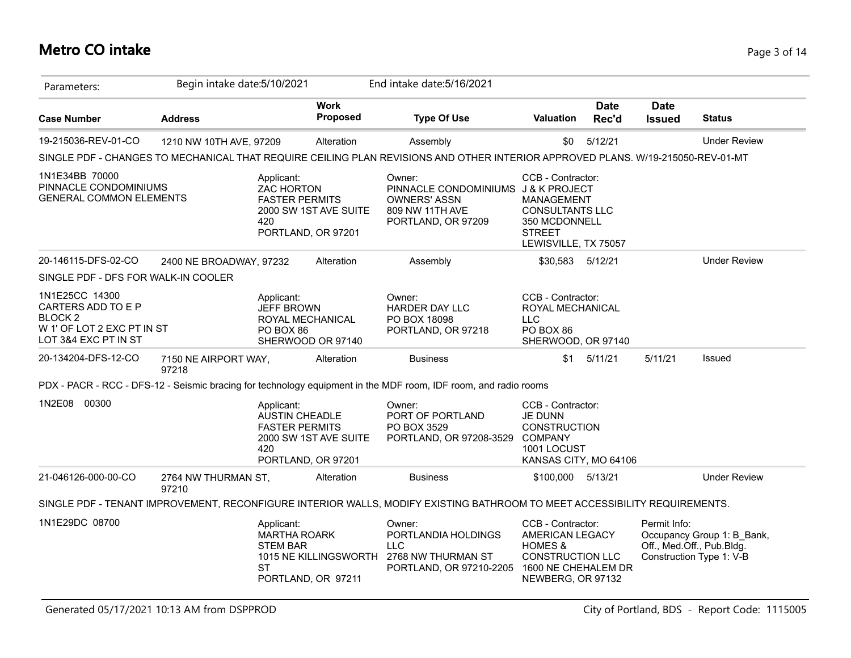## **Metro CO intake** Page 3 of 14

| Parameters:                                                                                                 | Begin intake date: 5/10/2021  |                                                                     |                                             | End intake date: 5/16/2021                                                                                                      |                                                                                                                                   |                      |                              |                                                                                     |
|-------------------------------------------------------------------------------------------------------------|-------------------------------|---------------------------------------------------------------------|---------------------------------------------|---------------------------------------------------------------------------------------------------------------------------------|-----------------------------------------------------------------------------------------------------------------------------------|----------------------|------------------------------|-------------------------------------------------------------------------------------|
| <b>Case Number</b>                                                                                          | <b>Address</b>                |                                                                     | <b>Work</b><br>Proposed                     | <b>Type Of Use</b>                                                                                                              | <b>Valuation</b>                                                                                                                  | <b>Date</b><br>Rec'd | <b>Date</b><br><b>Issued</b> | <b>Status</b>                                                                       |
| 19-215036-REV-01-CO                                                                                         | 1210 NW 10TH AVE, 97209       |                                                                     | Alteration                                  | Assembly                                                                                                                        | \$0                                                                                                                               | 5/12/21              |                              | <b>Under Review</b>                                                                 |
|                                                                                                             |                               |                                                                     |                                             | SINGLE PDF - CHANGES TO MECHANICAL THAT REQUIRE CEILING PLAN REVISIONS AND OTHER INTERIOR APPROVED PLANS. W/19-215050-REV-01-MT |                                                                                                                                   |                      |                              |                                                                                     |
| 1N1E34BB 70000<br>PINNACLE CONDOMINIUMS<br><b>GENERAL COMMON ELEMENTS</b>                                   |                               | Applicant:<br>ZAC HORTON<br><b>FASTER PERMITS</b><br>420            | 2000 SW 1ST AVE SUITE<br>PORTLAND, OR 97201 | Owner:<br>PINNACLE CONDOMINIUMS J & K PROJECT<br><b>OWNERS' ASSN</b><br>809 NW 11TH AVE<br>PORTLAND, OR 97209                   | CCB - Contractor:<br>MANAGEMENT<br><b>CONSULTANTS LLC</b><br>350 MCDONNELL<br><b>STREET</b><br>LEWISVILLE, TX 75057               |                      |                              |                                                                                     |
| 20-146115-DFS-02-CO                                                                                         | 2400 NE BROADWAY, 97232       |                                                                     | Alteration                                  | Assembly                                                                                                                        | \$30,583 5/12/21                                                                                                                  |                      |                              | <b>Under Review</b>                                                                 |
| SINGLE PDF - DFS FOR WALK-IN COOLER                                                                         |                               |                                                                     |                                             |                                                                                                                                 |                                                                                                                                   |                      |                              |                                                                                     |
| 1N1E25CC 14300<br>CARTERS ADD TO E P<br><b>BLOCK2</b><br>W 1' OF LOT 2 EXC PT IN ST<br>LOT 3&4 EXC PT IN ST |                               | Applicant:<br><b>JEFF BROWN</b><br>PO BOX 86                        | ROYAL MECHANICAL<br>SHERWOOD OR 97140       | Owner:<br><b>HARDER DAY LLC</b><br>PO BOX 18098<br>PORTLAND, OR 97218                                                           | CCB - Contractor:<br>ROYAL MECHANICAL<br><b>LLC</b><br>PO BOX 86<br>SHERWOOD, OR 97140                                            |                      |                              |                                                                                     |
| 20-134204-DFS-12-CO                                                                                         | 7150 NE AIRPORT WAY,<br>97218 |                                                                     | Alteration                                  | <b>Business</b>                                                                                                                 |                                                                                                                                   | $$1$ $5/11/21$       | 5/11/21                      | Issued                                                                              |
|                                                                                                             |                               |                                                                     |                                             | PDX - PACR - RCC - DFS-12 - Seismic bracing for technology equipment in the MDF room, IDF room, and radio rooms                 |                                                                                                                                   |                      |                              |                                                                                     |
| 1N2E08 00300                                                                                                |                               | Applicant:<br><b>AUSTIN CHEADLE</b><br><b>FASTER PERMITS</b><br>420 | 2000 SW 1ST AVE SUITE<br>PORTLAND, OR 97201 | Owner:<br>PORT OF PORTLAND<br>PO BOX 3529<br>PORTLAND, OR 97208-3529 COMPANY                                                    | CCB - Contractor:<br><b>JE DUNN</b><br><b>CONSTRUCTION</b><br>1001 LOCUST<br>KANSAS CITY, MO 64106                                |                      |                              |                                                                                     |
| 21-046126-000-00-CO                                                                                         | 2764 NW THURMAN ST,<br>97210  |                                                                     | Alteration                                  | <b>Business</b>                                                                                                                 | \$100,000 5/13/21                                                                                                                 |                      |                              | <b>Under Review</b>                                                                 |
|                                                                                                             |                               |                                                                     |                                             | SINGLE PDF - TENANT IMPROVEMENT, RECONFIGURE INTERIOR WALLS, MODIFY EXISTING BATHROOM TO MEET ACCESSIBILITY REQUIREMENTS.       |                                                                                                                                   |                      |                              |                                                                                     |
| 1N1E29DC 08700                                                                                              |                               | Applicant:<br><b>MARTHA ROARK</b><br><b>STEM BAR</b><br>ST          | 1015 NE KILLINGSWORTH<br>PORTLAND, OR 97211 | Owner:<br>PORTLANDIA HOLDINGS<br><b>LLC</b><br>2768 NW THURMAN ST<br>PORTLAND, OR 97210-2205                                    | CCB - Contractor:<br>AMERICAN LEGACY<br><b>HOMES &amp;</b><br><b>CONSTRUCTION LLC</b><br>1600 NE CHEHALEM DR<br>NEWBERG, OR 97132 |                      | Permit Info:                 | Occupancy Group 1: B_Bank,<br>Off., Med.Off., Pub.Bldg.<br>Construction Type 1: V-B |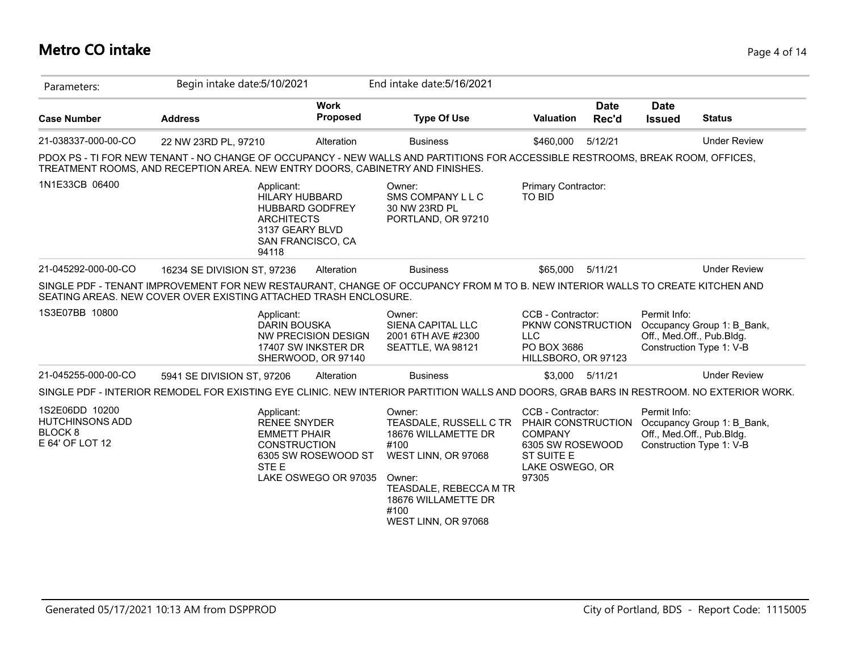### **Metro CO intake** Page 4 of 14

| Parameters:                                                                       | Begin intake date: 5/10/2021                                                                                                                                                                                    |                                                                         | End intake date: 5/16/2021                                                                                                                                                       |                                                                                                                         |                      |                              |                                                                                     |
|-----------------------------------------------------------------------------------|-----------------------------------------------------------------------------------------------------------------------------------------------------------------------------------------------------------------|-------------------------------------------------------------------------|----------------------------------------------------------------------------------------------------------------------------------------------------------------------------------|-------------------------------------------------------------------------------------------------------------------------|----------------------|------------------------------|-------------------------------------------------------------------------------------|
| <b>Case Number</b>                                                                | <b>Address</b>                                                                                                                                                                                                  | <b>Work</b><br>Proposed                                                 | <b>Type Of Use</b>                                                                                                                                                               | Valuation                                                                                                               | <b>Date</b><br>Rec'd | <b>Date</b><br><b>Issued</b> | <b>Status</b>                                                                       |
| 21-038337-000-00-CO                                                               | 22 NW 23RD PL, 97210                                                                                                                                                                                            | Alteration                                                              | <b>Business</b>                                                                                                                                                                  | \$460,000                                                                                                               | 5/12/21              |                              | <b>Under Review</b>                                                                 |
|                                                                                   | PDOX PS - TI FOR NEW TENANT - NO CHANGE OF OCCUPANCY - NEW WALLS AND PARTITIONS FOR ACCESSIBLE RESTROOMS, BREAK ROOM, OFFICES,<br>TREATMENT ROOMS, AND RECEPTION AREA. NEW ENTRY DOORS, CABINETRY AND FINISHES. |                                                                         |                                                                                                                                                                                  |                                                                                                                         |                      |                              |                                                                                     |
| 1N1E33CB 06400                                                                    | Applicant:<br><b>HILARY HUBBARD</b><br><b>ARCHITECTS</b><br>3137 GEARY BLVD<br>94118                                                                                                                            | HUBBARD GODFREY<br>SAN FRANCISCO, CA                                    | Owner:<br>SMS COMPANY L L C<br>30 NW 23RD PL<br>PORTLAND, OR 97210                                                                                                               | Primary Contractor:<br><b>TO BID</b>                                                                                    |                      |                              |                                                                                     |
| 21-045292-000-00-CO                                                               | 16234 SE DIVISION ST, 97236                                                                                                                                                                                     | Alteration                                                              | <b>Business</b>                                                                                                                                                                  | \$65,000                                                                                                                | 5/11/21              |                              | <b>Under Review</b>                                                                 |
|                                                                                   | SINGLE PDF - TENANT IMPROVEMENT FOR NEW RESTAURANT, CHANGE OF OCCUPANCY FROM M TO B. NEW INTERIOR WALLS TO CREATE KITCHEN AND<br>SEATING AREAS. NEW COVER OVER EXISTING ATTACHED TRASH ENCLOSURE.               |                                                                         |                                                                                                                                                                                  |                                                                                                                         |                      |                              |                                                                                     |
| 1S3E07BB 10800                                                                    | Applicant:<br>DARIN BOUSKA                                                                                                                                                                                      | <b>NW PRECISION DESIGN</b><br>17407 SW INKSTER DR<br>SHERWOOD, OR 97140 | Owner:<br>SIENA CAPITAL LLC<br>2001 6TH AVE #2300<br>SEATTLE, WA 98121                                                                                                           | CCB - Contractor:<br>PKNW CONSTRUCTION<br><b>LLC</b><br>PO BOX 3686<br>HILLSBORO, OR 97123                              |                      | Permit Info:                 | Occupancy Group 1: B Bank,<br>Off., Med.Off., Pub.Bldg.<br>Construction Type 1: V-B |
| 21-045255-000-00-CO                                                               | 5941 SE DIVISION ST, 97206                                                                                                                                                                                      | Alteration                                                              | <b>Business</b>                                                                                                                                                                  |                                                                                                                         | \$3.000 5/11/21      |                              | <b>Under Review</b>                                                                 |
|                                                                                   | SINGLE PDF - INTERIOR REMODEL FOR EXISTING EYE CLINIC. NEW INTERIOR PARTITION WALLS AND DOORS, GRAB BARS IN RESTROOM. NO EXTERIOR WORK.                                                                         |                                                                         |                                                                                                                                                                                  |                                                                                                                         |                      |                              |                                                                                     |
| 1S2E06DD 10200<br><b>HUTCHINSONS ADD</b><br>BLOCK <sub>8</sub><br>E 64' OF LOT 12 | Applicant:<br><b>RENEE SNYDER</b><br><b>EMMETT PHAIR</b><br><b>CONSTRUCTION</b><br>STE E                                                                                                                        | 6305 SW ROSEWOOD ST<br>LAKE OSWEGO OR 97035                             | Owner:<br>TEASDALE, RUSSELL C TR<br>18676 WILLAMETTE DR<br>#100<br>WEST LINN, OR 97068<br>Owner:<br>TEASDALE, REBECCA M TR<br>18676 WILLAMETTE DR<br>#100<br>WEST LINN, OR 97068 | CCB - Contractor:<br>PHAIR CONSTRUCTION<br><b>COMPANY</b><br>6305 SW ROSEWOOD<br>ST SUITE E<br>LAKE OSWEGO, OR<br>97305 |                      | Permit Info:                 | Occupancy Group 1: B Bank,<br>Off., Med.Off., Pub.Bldg.<br>Construction Type 1: V-B |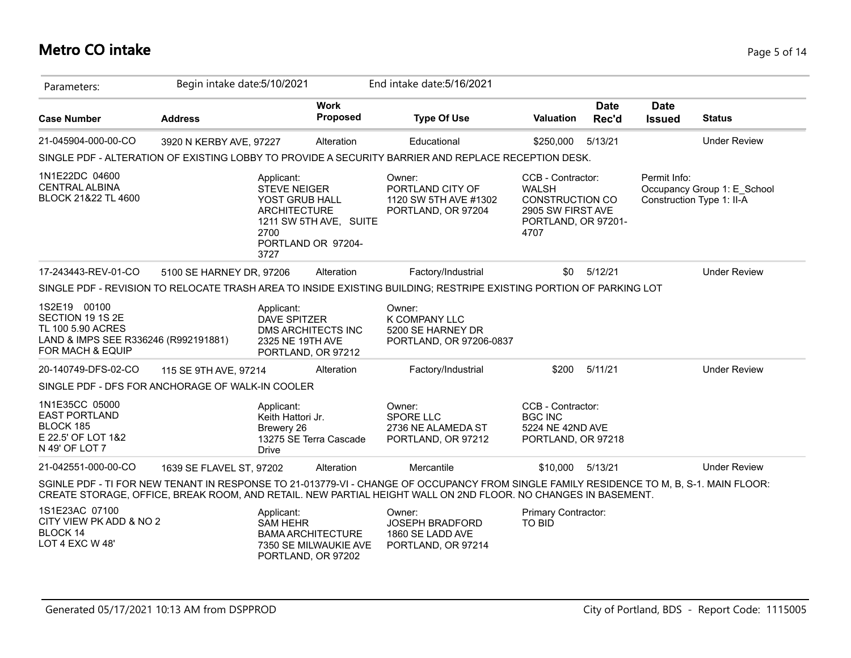## **Metro CO intake** Page 5 of 14

| Parameters:                                                                                                       | Begin intake date: 5/10/2021 |                                                                                            |                                                                         | End intake date: 5/16/2021                                                                                                                                                                                                                               |                                                                                                                 |                      |                              |                                                          |
|-------------------------------------------------------------------------------------------------------------------|------------------------------|--------------------------------------------------------------------------------------------|-------------------------------------------------------------------------|----------------------------------------------------------------------------------------------------------------------------------------------------------------------------------------------------------------------------------------------------------|-----------------------------------------------------------------------------------------------------------------|----------------------|------------------------------|----------------------------------------------------------|
| <b>Case Number</b>                                                                                                | <b>Address</b>               |                                                                                            | <b>Work</b><br>Proposed                                                 | <b>Type Of Use</b>                                                                                                                                                                                                                                       | <b>Valuation</b>                                                                                                | <b>Date</b><br>Rec'd | <b>Date</b><br><b>Issued</b> | <b>Status</b>                                            |
| 21-045904-000-00-CO                                                                                               | 3920 N KERBY AVE, 97227      |                                                                                            | Alteration                                                              | Educational                                                                                                                                                                                                                                              | \$250,000                                                                                                       | 5/13/21              |                              | <b>Under Review</b>                                      |
|                                                                                                                   |                              |                                                                                            |                                                                         | SINGLE PDF - ALTERATION OF EXISTING LOBBY TO PROVIDE A SECURITY BARRIER AND REPLACE RECEPTION DESK.                                                                                                                                                      |                                                                                                                 |                      |                              |                                                          |
| 1N1E22DC 04600<br><b>CENTRAL ALBINA</b><br>BLOCK 21&22 TL 4600                                                    |                              | Applicant:<br><b>STEVE NEIGER</b><br>YOST GRUB HALL<br><b>ARCHITECTURE</b><br>2700<br>3727 | 1211 SW 5TH AVE, SUITE<br>PORTLAND OR 97204-                            | Owner:<br>PORTLAND CITY OF<br>1120 SW 5TH AVE #1302<br>PORTLAND, OR 97204                                                                                                                                                                                | CCB - Contractor:<br><b>WALSH</b><br><b>CONSTRUCTION CO</b><br>2905 SW FIRST AVE<br>PORTLAND, OR 97201-<br>4707 |                      | Permit Info:                 | Occupancy Group 1: E School<br>Construction Type 1: II-A |
| 17-243443-REV-01-CO                                                                                               | 5100 SE HARNEY DR, 97206     |                                                                                            | Alteration                                                              | Factory/Industrial                                                                                                                                                                                                                                       | \$0                                                                                                             | 5/12/21              |                              | <b>Under Review</b>                                      |
|                                                                                                                   |                              |                                                                                            |                                                                         | SINGLE PDF - REVISION TO RELOCATE TRASH AREA TO INSIDE EXISTING BUILDING; RESTRIPE EXISTING PORTION OF PARKING LOT                                                                                                                                       |                                                                                                                 |                      |                              |                                                          |
| 1S2E19 00100<br>SECTION 19 1S 2E<br>TL 100 5.90 ACRES<br>LAND & IMPS SEE R336246 (R992191881)<br>FOR MACH & EQUIP |                              | Applicant:<br><b>DAVE SPITZER</b><br>2325 NE 19TH AVE                                      | DMS ARCHITECTS INC<br>PORTLAND, OR 97212                                | Owner:<br>K COMPANY LLC<br>5200 SE HARNEY DR<br>PORTLAND, OR 97206-0837                                                                                                                                                                                  |                                                                                                                 |                      |                              |                                                          |
| 20-140749-DFS-02-CO                                                                                               | 115 SE 9TH AVE, 97214        |                                                                                            | Alteration                                                              | Factory/Industrial                                                                                                                                                                                                                                       | \$200                                                                                                           | 5/11/21              |                              | <b>Under Review</b>                                      |
| SINGLE PDF - DFS FOR ANCHORAGE OF WALK-IN COOLER                                                                  |                              |                                                                                            |                                                                         |                                                                                                                                                                                                                                                          |                                                                                                                 |                      |                              |                                                          |
| 1N1E35CC 05000<br><b>EAST PORTLAND</b><br>BLOCK 185<br>E 22.5' OF LOT 1&2<br>N 49' OF LOT 7                       |                              | Applicant:<br>Keith Hattori Jr.<br>Brewery 26<br><b>Drive</b>                              | 13275 SE Terra Cascade                                                  | Owner:<br><b>SPORE LLC</b><br>2736 NE ALAMEDA ST<br>PORTLAND, OR 97212                                                                                                                                                                                   | CCB - Contractor:<br><b>BGC INC</b><br>5224 NE 42ND AVE<br>PORTLAND, OR 97218                                   |                      |                              |                                                          |
| 21-042551-000-00-CO                                                                                               | 1639 SE FLAVEL ST, 97202     |                                                                                            | Alteration                                                              | Mercantile                                                                                                                                                                                                                                               | \$10,000                                                                                                        | 5/13/21              |                              | <b>Under Review</b>                                      |
|                                                                                                                   |                              |                                                                                            |                                                                         | SGINLE PDF - TI FOR NEW TENANT IN RESPONSE TO 21-013779-VI - CHANGE OF OCCUPANCY FROM SINGLE FAMILY RESIDENCE TO M, B, S-1. MAIN FLOOR:<br>CREATE STORAGE, OFFICE, BREAK ROOM, AND RETAIL. NEW PARTIAL HEIGHT WALL ON 2ND FLOOR. NO CHANGES IN BASEMENT. |                                                                                                                 |                      |                              |                                                          |
| 1S1E23AC 07100<br>CITY VIEW PK ADD & NO 2<br>BLOCK 14<br>LOT 4 EXC W 48'                                          |                              | Applicant:<br><b>SAM HEHR</b>                                                              | <b>BAMA ARCHITECTURE</b><br>7350 SE MILWAUKIE AVE<br>PORTLAND, OR 97202 | Owner:<br><b>JOSEPH BRADFORD</b><br>1860 SE LADD AVE<br>PORTLAND, OR 97214                                                                                                                                                                               | <b>Primary Contractor:</b><br><b>TO BID</b>                                                                     |                      |                              |                                                          |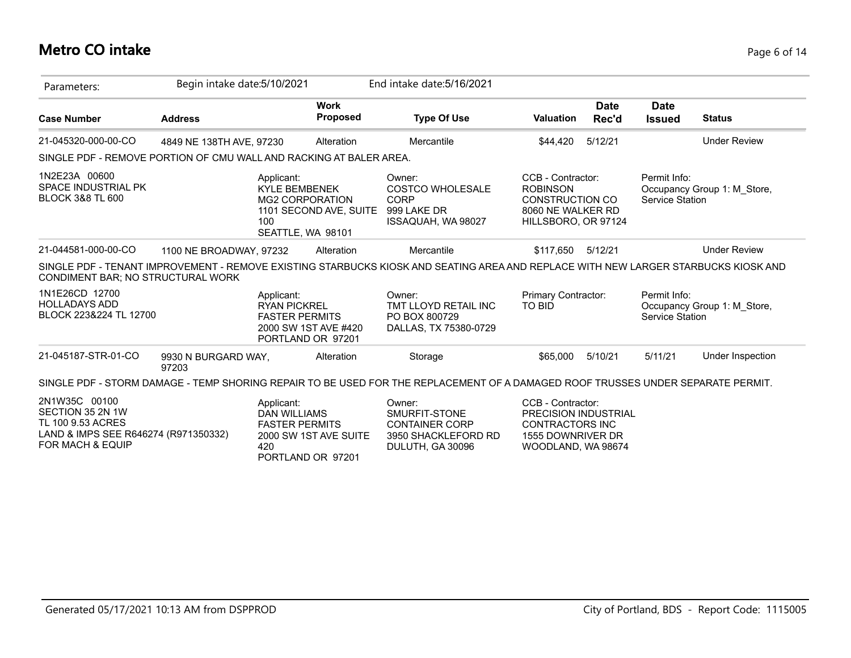## **Metro CO intake** Page 6 of 14

| Parameters:                                                                                                        | Begin intake date: 5/10/2021 |                                                                                                         |                                | End intake date: 5/16/2021                                                                                                         |                                                                                                                       |                      |                                 |                             |
|--------------------------------------------------------------------------------------------------------------------|------------------------------|---------------------------------------------------------------------------------------------------------|--------------------------------|------------------------------------------------------------------------------------------------------------------------------------|-----------------------------------------------------------------------------------------------------------------------|----------------------|---------------------------------|-----------------------------|
| <b>Case Number</b>                                                                                                 | <b>Address</b>               |                                                                                                         | <b>Work</b><br><b>Proposed</b> | <b>Type Of Use</b>                                                                                                                 | <b>Valuation</b>                                                                                                      | <b>Date</b><br>Rec'd | <b>Date</b><br><b>Issued</b>    | <b>Status</b>               |
| 21-045320-000-00-CO                                                                                                | 4849 NE 138TH AVE, 97230     |                                                                                                         | Alteration                     | Mercantile                                                                                                                         | \$44,420                                                                                                              | 5/12/21              |                                 | <b>Under Review</b>         |
| SINGLE PDF - REMOVE PORTION OF CMU WALL AND RACKING AT BALER AREA.                                                 |                              |                                                                                                         |                                |                                                                                                                                    |                                                                                                                       |                      |                                 |                             |
| 1N2E23A 00600<br><b>SPACE INDUSTRIAL PK</b><br><b>BLOCK 3&amp;8 TL 600</b>                                         |                              | Applicant:<br><b>KYLE BEMBENEK</b><br><b>MG2 CORPORATION</b><br>100<br>SEATTLE, WA 98101                | 1101 SECOND AVE, SUITE         | Owner:<br>COSTCO WHOLESALE<br><b>CORP</b><br>999 LAKE DR<br>ISSAQUAH, WA 98027                                                     | CCB - Contractor:<br><b>ROBINSON</b><br><b>CONSTRUCTION CO</b><br>8060 NE WALKER RD<br>HILLSBORO, OR 97124            |                      | Permit Info:<br>Service Station | Occupancy Group 1: M Store, |
| 21-044581-000-00-CO                                                                                                | 1100 NE BROADWAY, 97232      |                                                                                                         | Alteration                     | Mercantile                                                                                                                         | \$117,650                                                                                                             | 5/12/21              |                                 | <b>Under Review</b>         |
| CONDIMENT BAR; NO STRUCTURAL WORK                                                                                  |                              |                                                                                                         |                                | SINGLE PDF - TENANT IMPROVEMENT - REMOVE EXISTING STARBUCKS KIOSK AND SEATING AREA AND REPLACE WITH NEW LARGER STARBUCKS KIOSK AND |                                                                                                                       |                      |                                 |                             |
| 1N1E26CD 12700<br><b>HOLLADAYS ADD</b><br>BLOCK 223&224 TL 12700                                                   |                              | Applicant:<br><b>RYAN PICKREL</b><br><b>FASTER PERMITS</b><br>2000 SW 1ST AVE #420<br>PORTLAND OR 97201 |                                | Owner:<br>TMT LLOYD RETAIL INC<br>PO BOX 800729<br>DALLAS, TX 75380-0729                                                           | Primary Contractor:<br><b>TO BID</b>                                                                                  |                      | Permit Info:<br>Service Station | Occupancy Group 1: M Store, |
| 21-045187-STR-01-CO                                                                                                | 9930 N BURGARD WAY,<br>97203 |                                                                                                         | Alteration                     | Storage                                                                                                                            | \$65,000                                                                                                              | 5/10/21              | 5/11/21                         | Under Inspection            |
|                                                                                                                    |                              |                                                                                                         |                                | SINGLE PDF - STORM DAMAGE - TEMP SHORING REPAIR TO BE USED FOR THE REPLACEMENT OF A DAMAGED ROOF TRUSSES UNDER SEPARATE PERMIT.    |                                                                                                                       |                      |                                 |                             |
| 2N1W35C 00100<br>SECTION 35 2N 1W<br>TL 100 9.53 ACRES<br>LAND & IMPS SEE R646274 (R971350332)<br>FOR MACH & EQUIP |                              | Applicant:<br><b>DAN WILLIAMS</b><br><b>FASTER PERMITS</b><br>420<br>PORTLAND OR 97201                  | 2000 SW 1ST AVE SUITE          | Owner:<br>SMURFIT-STONE<br><b>CONTAINER CORP</b><br>3950 SHACKLEFORD RD<br>DULUTH, GA 30096                                        | CCB - Contractor:<br><b>PRECISION INDUSTRIAL</b><br><b>CONTRACTORS INC</b><br>1555 DOWNRIVER DR<br>WOODLAND, WA 98674 |                      |                                 |                             |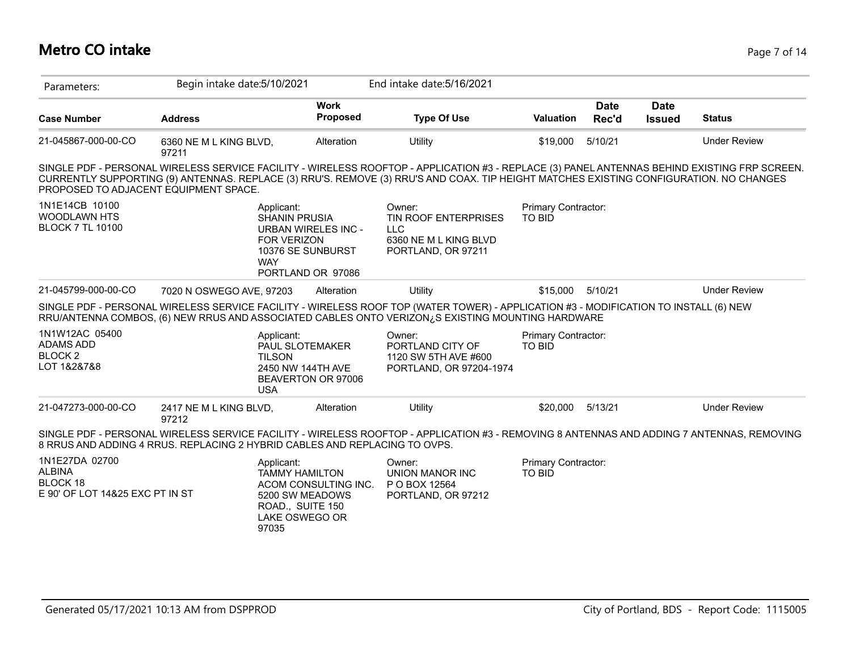## **Metro CO intake** Page 7 of 14

| Parameters:                                                                    | Begin intake date: 5/10/2021    |                                                                                                                                                |                                | End intake date: 5/16/2021                                                                                                                                                                                                                                                             |                                      |                      |                              |                     |
|--------------------------------------------------------------------------------|---------------------------------|------------------------------------------------------------------------------------------------------------------------------------------------|--------------------------------|----------------------------------------------------------------------------------------------------------------------------------------------------------------------------------------------------------------------------------------------------------------------------------------|--------------------------------------|----------------------|------------------------------|---------------------|
| <b>Case Number</b>                                                             | <b>Address</b>                  |                                                                                                                                                | <b>Work</b><br><b>Proposed</b> | <b>Type Of Use</b>                                                                                                                                                                                                                                                                     | <b>Valuation</b>                     | <b>Date</b><br>Rec'd | <b>Date</b><br><b>Issued</b> | <b>Status</b>       |
| 21-045867-000-00-CO                                                            | 6360 NE M L KING BLVD,<br>97211 |                                                                                                                                                | Alteration                     | Utility                                                                                                                                                                                                                                                                                | \$19,000                             | 5/10/21              |                              | <b>Under Review</b> |
| PROPOSED TO ADJACENT EQUIPMENT SPACE.                                          |                                 |                                                                                                                                                |                                | SINGLE PDF - PERSONAL WIRELESS SERVICE FACILITY - WIRELESS ROOFTOP - APPLICATION #3 - REPLACE (3) PANEL ANTENNAS BEHIND EXISTING FRP SCREEN.<br>CURRENTLY SUPPORTING (9) ANTENNAS. REPLACE (3) RRU'S. REMOVE (3) RRU'S AND COAX. TIP HEIGHT MATCHES EXISTING CONFIGURATION. NO CHANGES |                                      |                      |                              |                     |
| 1N1E14CB 10100<br><b>WOODLAWN HTS</b><br><b>BLOCK 7 TL 10100</b>               |                                 | Applicant:<br><b>SHANIN PRUSIA</b><br><b>URBAN WIRELES INC -</b><br><b>FOR VERIZON</b><br>10376 SE SUNBURST<br><b>WAY</b><br>PORTLAND OR 97086 |                                | Owner:<br>TIN ROOF ENTERPRISES<br><b>LLC</b><br>6360 NE M L KING BLVD<br>PORTLAND, OR 97211                                                                                                                                                                                            | Primary Contractor:<br><b>TO BID</b> |                      |                              |                     |
| 21-045799-000-00-CO                                                            | 7020 N OSWEGO AVE, 97203        |                                                                                                                                                | Alteration                     | Utility                                                                                                                                                                                                                                                                                | \$15,000                             | 5/10/21              |                              | <b>Under Review</b> |
|                                                                                |                                 |                                                                                                                                                |                                | SINGLE PDF - PERSONAL WIRELESS SERVICE FACILITY - WIRELESS ROOF TOP (WATER TOWER) - APPLICATION #3 - MODIFICATION TO INSTALL (6) NEW<br>RRU/ANTENNA COMBOS, (6) NEW RRUS AND ASSOCIATED CABLES ONTO VERIZON¿S EXISTING MOUNTING HARDWARE                                               |                                      |                      |                              |                     |
| 1N1W12AC 05400<br><b>ADAMS ADD</b><br><b>BLOCK2</b><br>LOT 1&2&7&8             |                                 | Applicant:<br>PAUL SLOTEMAKER<br><b>TILSON</b><br>2450 NW 144TH AVE<br>BEAVERTON OR 97006<br><b>USA</b>                                        |                                | Owner:<br>PORTLAND CITY OF<br>1120 SW 5TH AVE #600<br>PORTLAND, OR 97204-1974                                                                                                                                                                                                          | Primary Contractor:<br><b>TO BID</b> |                      |                              |                     |
| 21-047273-000-00-CO                                                            | 2417 NE M L KING BLVD,<br>97212 |                                                                                                                                                | Alteration                     | Utility                                                                                                                                                                                                                                                                                | \$20,000                             | 5/13/21              |                              | <b>Under Review</b> |
| 8 RRUS AND ADDING 4 RRUS. REPLACING 2 HYBRID CABLES AND REPLACING TO OVPS.     |                                 |                                                                                                                                                |                                | SINGLE PDF - PERSONAL WIRELESS SERVICE FACILITY - WIRELESS ROOFTOP - APPLICATION #3 - REMOVING 8 ANTENNAS AND ADDING 7 ANTENNAS, REMOVING                                                                                                                                              |                                      |                      |                              |                     |
| 1N1E27DA 02700<br><b>ALBINA</b><br>BLOCK 18<br>E 90' OF LOT 14&25 EXC PT IN ST |                                 | Applicant:<br><b>TAMMY HAMILTON</b><br>5200 SW MEADOWS<br>ROAD., SUITE 150<br>LAKE OSWEGO OR<br>97035                                          | ACOM CONSULTING INC.           | Owner:<br><b>UNION MANOR INC</b><br>P O BOX 12564<br>PORTLAND, OR 97212                                                                                                                                                                                                                | Primary Contractor:<br><b>TO BID</b> |                      |                              |                     |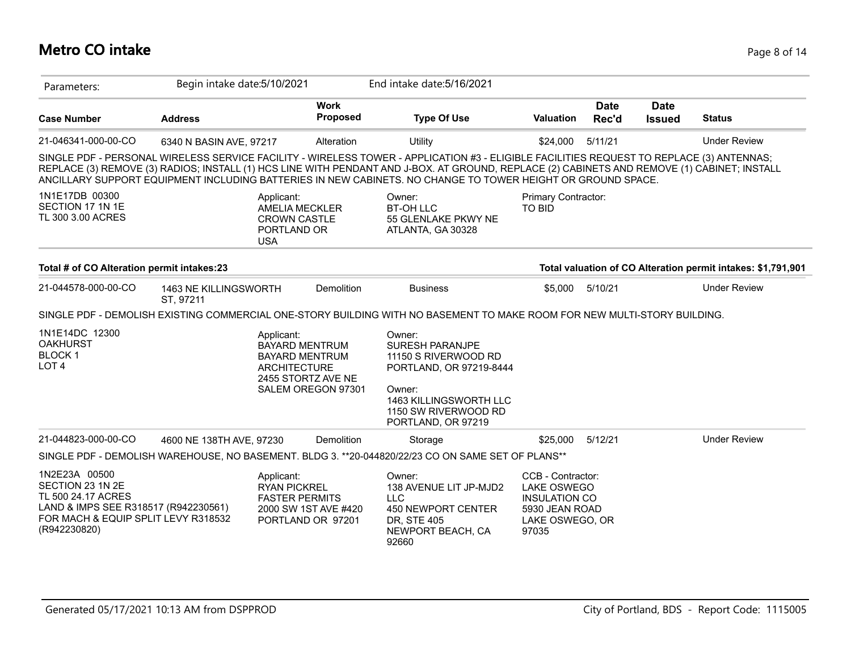# **Metro CO intake** Page 8 of 14

| Parameters:                                                                                                                                            | Begin intake date: 5/10/2021       |                                                                                         |                                                                                            | End intake date: 5/16/2021                                                                                                                                                                                                                                                                                                                                                                             |                                                                                                        |                      |                              |                                                              |
|--------------------------------------------------------------------------------------------------------------------------------------------------------|------------------------------------|-----------------------------------------------------------------------------------------|--------------------------------------------------------------------------------------------|--------------------------------------------------------------------------------------------------------------------------------------------------------------------------------------------------------------------------------------------------------------------------------------------------------------------------------------------------------------------------------------------------------|--------------------------------------------------------------------------------------------------------|----------------------|------------------------------|--------------------------------------------------------------|
| <b>Case Number</b>                                                                                                                                     | <b>Address</b>                     |                                                                                         | <b>Work</b><br>Proposed                                                                    | <b>Type Of Use</b>                                                                                                                                                                                                                                                                                                                                                                                     | <b>Valuation</b>                                                                                       | <b>Date</b><br>Rec'd | <b>Date</b><br><b>Issued</b> | <b>Status</b>                                                |
| 21-046341-000-00-CO                                                                                                                                    | 6340 N BASIN AVE, 97217            |                                                                                         | Alteration                                                                                 | Utility                                                                                                                                                                                                                                                                                                                                                                                                | \$24,000                                                                                               | 5/11/21              |                              | <b>Under Review</b>                                          |
|                                                                                                                                                        |                                    |                                                                                         |                                                                                            | SINGLE PDF - PERSONAL WIRELESS SERVICE FACILITY - WIRELESS TOWER - APPLICATION #3 - ELIGIBLE FACILITIES REQUEST TO REPLACE (3) ANTENNAS;<br>REPLACE (3) REMOVE (3) RADIOS; INSTALL (1) HCS LINE WITH PENDANT AND J-BOX. AT GROUND, REPLACE (2) CABINETS AND REMOVE (1) CABINET; INSTALL<br>ANCILLARY SUPPORT EQUIPMENT INCLUDING BATTERIES IN NEW CABINETS. NO CHANGE TO TOWER HEIGHT OR GROUND SPACE. |                                                                                                        |                      |                              |                                                              |
| 1N1E17DB 00300<br>SECTION 17 1N 1E<br>TL 300 3.00 ACRES                                                                                                |                                    | Applicant:<br><b>AMELIA MECKLER</b><br><b>CROWN CASTLE</b><br>PORTLAND OR<br><b>USA</b> |                                                                                            | Owner:<br><b>BT-OH LLC</b><br>55 GLENLAKE PKWY NE<br>ATLANTA, GA 30328                                                                                                                                                                                                                                                                                                                                 | Primary Contractor:<br><b>TO BID</b>                                                                   |                      |                              |                                                              |
| Total # of CO Alteration permit intakes:23                                                                                                             |                                    |                                                                                         |                                                                                            |                                                                                                                                                                                                                                                                                                                                                                                                        |                                                                                                        |                      |                              | Total valuation of CO Alteration permit intakes: \$1,791,901 |
| 21-044578-000-00-CO                                                                                                                                    | 1463 NE KILLINGSWORTH<br>ST, 97211 |                                                                                         | Demolition                                                                                 | <b>Business</b>                                                                                                                                                                                                                                                                                                                                                                                        | \$5,000                                                                                                | 5/10/21              |                              | <b>Under Review</b>                                          |
|                                                                                                                                                        |                                    |                                                                                         |                                                                                            | SINGLE PDF - DEMOLISH EXISTING COMMERCIAL ONE-STORY BUILDING WITH NO BASEMENT TO MAKE ROOM FOR NEW MULTI-STORY BUILDING.                                                                                                                                                                                                                                                                               |                                                                                                        |                      |                              |                                                              |
| 1N1E14DC 12300<br><b>OAKHURST</b><br><b>BLOCK1</b><br>LOT <sub>4</sub>                                                                                 |                                    | Applicant:<br><b>ARCHITECTURE</b>                                                       | <b>BAYARD MENTRUM</b><br><b>BAYARD MENTRUM</b><br>2455 STORTZ AVE NE<br>SALEM OREGON 97301 | Owner:<br><b>SURESH PARANJPE</b><br>11150 S RIVERWOOD RD<br>PORTLAND, OR 97219-8444<br>Owner:<br><b>1463 KILLINGSWORTH LLC</b>                                                                                                                                                                                                                                                                         |                                                                                                        |                      |                              |                                                              |
|                                                                                                                                                        |                                    |                                                                                         |                                                                                            | 1150 SW RIVERWOOD RD<br>PORTLAND, OR 97219                                                                                                                                                                                                                                                                                                                                                             |                                                                                                        |                      |                              |                                                              |
| 21-044823-000-00-CO                                                                                                                                    | 4600 NE 138TH AVE, 97230           |                                                                                         | Demolition                                                                                 | Storage                                                                                                                                                                                                                                                                                                                                                                                                | \$25,000                                                                                               | 5/12/21              |                              | <b>Under Review</b>                                          |
|                                                                                                                                                        |                                    |                                                                                         |                                                                                            | SINGLE PDF - DEMOLISH WAREHOUSE, NO BASEMENT. BLDG 3. **20-044820/22/23 CO ON SAME SET OF PLANS**                                                                                                                                                                                                                                                                                                      |                                                                                                        |                      |                              |                                                              |
| 1N2E23A 00500<br>SECTION 23 1N 2E<br>TL 500 24.17 ACRES<br>LAND & IMPS SEE R318517 (R942230561)<br>FOR MACH & EQUIP SPLIT LEVY R318532<br>(R942230820) |                                    | Applicant:<br><b>RYAN PICKREL</b><br><b>FASTER PERMITS</b>                              | 2000 SW 1ST AVE #420<br>PORTLAND OR 97201                                                  | Owner:<br>138 AVENUE LIT JP-MJD2<br><b>LLC</b><br>450 NEWPORT CENTER<br>DR. STE 405<br>NEWPORT BEACH, CA<br>92660                                                                                                                                                                                                                                                                                      | CCB - Contractor:<br>LAKE OSWEGO<br><b>INSULATION CO</b><br>5930 JEAN ROAD<br>LAKE OSWEGO, OR<br>97035 |                      |                              |                                                              |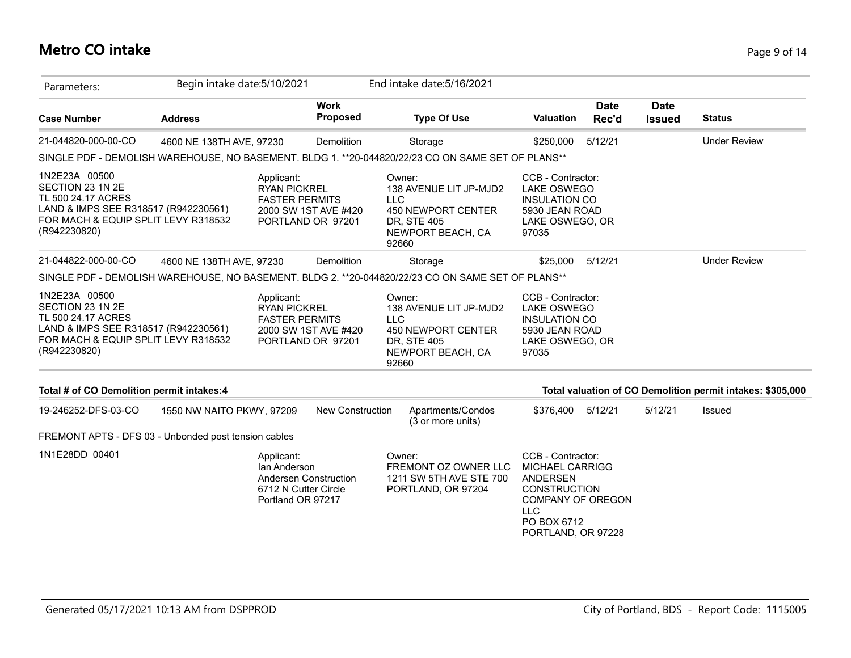## **Metro CO intake** Page 9 of 14

| Parameters:                                                                                                                                            | Begin intake date: 5/10/2021 |                                                                                                  |                                           |                                              | End intake date: 5/16/2021                                               |                                                                                                                                                                      |                      |                              |                                                            |
|--------------------------------------------------------------------------------------------------------------------------------------------------------|------------------------------|--------------------------------------------------------------------------------------------------|-------------------------------------------|----------------------------------------------|--------------------------------------------------------------------------|----------------------------------------------------------------------------------------------------------------------------------------------------------------------|----------------------|------------------------------|------------------------------------------------------------|
| <b>Case Number</b>                                                                                                                                     | <b>Address</b>               |                                                                                                  | <b>Work</b><br><b>Proposed</b>            |                                              | <b>Type Of Use</b>                                                       | <b>Valuation</b>                                                                                                                                                     | <b>Date</b><br>Rec'd | <b>Date</b><br><b>Issued</b> | <b>Status</b>                                              |
| 21-044820-000-00-CO                                                                                                                                    | 4600 NE 138TH AVE, 97230     |                                                                                                  | Demolition                                |                                              | Storage                                                                  | \$250,000                                                                                                                                                            | 5/12/21              |                              | <b>Under Review</b>                                        |
| SINGLE PDF - DEMOLISH WAREHOUSE, NO BASEMENT. BLDG 1. **20-044820/22/23 CO ON SAME SET OF PLANS**                                                      |                              |                                                                                                  |                                           |                                              |                                                                          |                                                                                                                                                                      |                      |                              |                                                            |
| 1N2E23A 00500<br>SECTION 23 1N 2E<br>TL 500 24.17 ACRES<br>LAND & IMPS SEE R318517 (R942230561)<br>FOR MACH & EQUIP SPLIT LEVY R318532<br>(R942230820) |                              | Applicant:<br><b>RYAN PICKREL</b><br><b>FASTER PERMITS</b>                                       | 2000 SW 1ST AVE #420<br>PORTLAND OR 97201 | Owner:<br><b>LLC</b><br>DR, STE 405<br>92660 | 138 AVENUE LIT JP-MJD2<br>450 NEWPORT CENTER<br>NEWPORT BEACH, CA        | CCB - Contractor:<br>LAKE OSWEGO<br><b>INSULATION CO</b><br>5930 JEAN ROAD<br>LAKE OSWEGO, OR<br>97035                                                               |                      |                              |                                                            |
| 21-044822-000-00-CO                                                                                                                                    | 4600 NE 138TH AVE, 97230     |                                                                                                  | Demolition                                |                                              | Storage                                                                  | \$25,000                                                                                                                                                             | 5/12/21              |                              | <b>Under Review</b>                                        |
| SINGLE PDF - DEMOLISH WAREHOUSE, NO BASEMENT. BLDG 2. **20-044820/22/23 CO ON SAME SET OF PLANS**                                                      |                              |                                                                                                  |                                           |                                              |                                                                          |                                                                                                                                                                      |                      |                              |                                                            |
| 1N2E23A 00500<br>SECTION 23 1N 2E<br>TL 500 24.17 ACRES<br>LAND & IMPS SEE R318517 (R942230561)<br>FOR MACH & EQUIP SPLIT LEVY R318532<br>(R942230820) |                              | Applicant:<br><b>RYAN PICKREL</b><br><b>FASTER PERMITS</b>                                       | 2000 SW 1ST AVE #420<br>PORTLAND OR 97201 | Owner:<br>LLC<br>DR, STE 405<br>92660        | 138 AVENUE LIT JP-MJD2<br><b>450 NEWPORT CENTER</b><br>NEWPORT BEACH, CA | CCB - Contractor:<br>LAKE OSWEGO<br><b>INSULATION CO</b><br>5930 JEAN ROAD<br>LAKE OSWEGO, OR<br>97035                                                               |                      |                              |                                                            |
| Total # of CO Demolition permit intakes:4                                                                                                              |                              |                                                                                                  |                                           |                                              |                                                                          |                                                                                                                                                                      |                      |                              | Total valuation of CO Demolition permit intakes: \$305,000 |
| 19-246252-DFS-03-CO                                                                                                                                    | 1550 NW NAITO PKWY, 97209    |                                                                                                  | New Construction                          |                                              | Apartments/Condos<br>(3 or more units)                                   | \$376,400 5/12/21                                                                                                                                                    |                      | 5/12/21                      | Issued                                                     |
| FREMONT APTS - DFS 03 - Unbonded post tension cables                                                                                                   |                              |                                                                                                  |                                           |                                              |                                                                          |                                                                                                                                                                      |                      |                              |                                                            |
| 1N1E28DD 00401                                                                                                                                         |                              | Applicant:<br>Ian Anderson<br>Andersen Construction<br>6712 N Cutter Circle<br>Portland OR 97217 |                                           | Owner:                                       | FREMONT OZ OWNER LLC<br>1211 SW 5TH AVE STE 700<br>PORTLAND, OR 97204    | CCB - Contractor:<br><b>MICHAEL CARRIGG</b><br><b>ANDERSEN</b><br><b>CONSTRUCTION</b><br><b>COMPANY OF OREGON</b><br><b>LLC</b><br>PO BOX 6712<br>PORTLAND, OR 97228 |                      |                              |                                                            |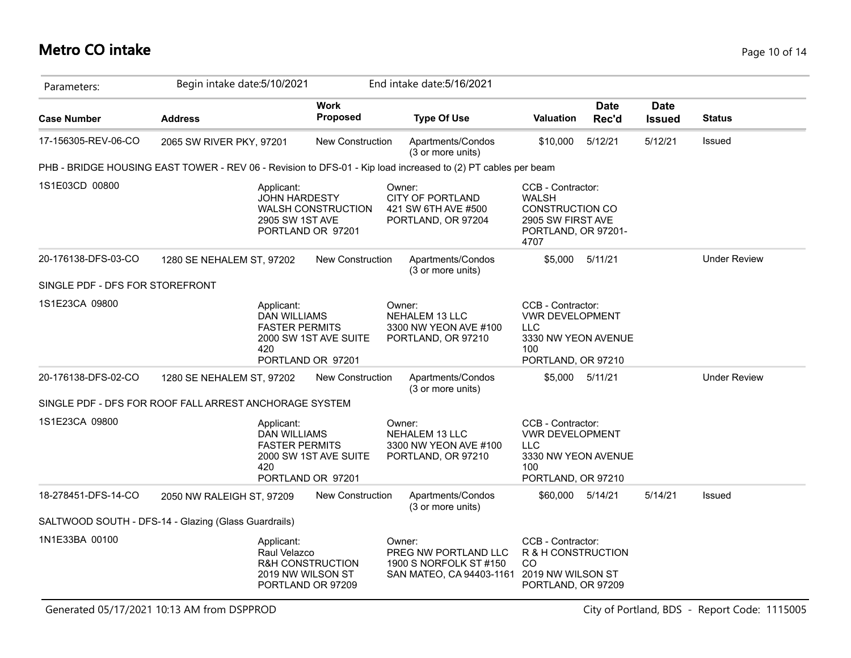## **Metro CO intake** Page 10 of 14

| Parameters:                     | Begin intake date: 5/10/2021                                                                                 |                                                            | End intake date: 5/16/2021                                                           |                                                                                                                 |                      |                              |                     |
|---------------------------------|--------------------------------------------------------------------------------------------------------------|------------------------------------------------------------|--------------------------------------------------------------------------------------|-----------------------------------------------------------------------------------------------------------------|----------------------|------------------------------|---------------------|
| <b>Case Number</b>              | <b>Address</b>                                                                                               | <b>Work</b><br><b>Proposed</b>                             | <b>Type Of Use</b>                                                                   | <b>Valuation</b>                                                                                                | <b>Date</b><br>Rec'd | <b>Date</b><br><b>Issued</b> | <b>Status</b>       |
| 17-156305-REV-06-CO             | 2065 SW RIVER PKY, 97201                                                                                     | New Construction                                           | Apartments/Condos<br>(3 or more units)                                               | \$10,000                                                                                                        | 5/12/21              | 5/12/21                      | Issued              |
|                                 | PHB - BRIDGE HOUSING EAST TOWER - REV 06 - Revision to DFS-01 - Kip load increased to (2) PT cables per beam |                                                            |                                                                                      |                                                                                                                 |                      |                              |                     |
| 1S1E03CD 00800                  | Applicant:<br><b>JOHN HARDESTY</b><br>2905 SW 1ST AVE                                                        | WALSH CONSTRUCTION<br>PORTLAND OR 97201                    | Owner:<br><b>CITY OF PORTLAND</b><br>421 SW 6TH AVE #500<br>PORTLAND, OR 97204       | CCB - Contractor:<br><b>WALSH</b><br><b>CONSTRUCTION CO</b><br>2905 SW FIRST AVE<br>PORTLAND, OR 97201-<br>4707 |                      |                              |                     |
| 20-176138-DFS-03-CO             | 1280 SE NEHALEM ST, 97202                                                                                    | New Construction                                           | Apartments/Condos<br>(3 or more units)                                               | \$5,000                                                                                                         | 5/11/21              |                              | <b>Under Review</b> |
| SINGLE PDF - DFS FOR STOREFRONT |                                                                                                              |                                                            |                                                                                      |                                                                                                                 |                      |                              |                     |
| 1S1E23CA 09800                  | Applicant:<br><b>DAN WILLIAMS</b><br><b>FASTER PERMITS</b><br>420                                            | 2000 SW 1ST AVE SUITE<br>PORTLAND OR 97201                 | Owner:<br>NEHALEM 13 LLC<br>3300 NW YEON AVE #100<br>PORTLAND, OR 97210              | CCB - Contractor:<br><b>VWR DEVELOPMENT</b><br><b>LLC</b><br>3330 NW YEON AVENUE<br>100<br>PORTLAND, OR 97210   |                      |                              |                     |
| 20-176138-DFS-02-CO             | 1280 SE NEHALEM ST, 97202                                                                                    | New Construction                                           | Apartments/Condos<br>(3 or more units)                                               | \$5,000                                                                                                         | 5/11/21              |                              | <b>Under Review</b> |
|                                 | SINGLE PDF - DFS FOR ROOF FALL ARREST ANCHORAGE SYSTEM                                                       |                                                            |                                                                                      |                                                                                                                 |                      |                              |                     |
| 1S1E23CA 09800                  | Applicant:<br><b>DAN WILLIAMS</b><br><b>FASTER PERMITS</b><br>420                                            | 2000 SW 1ST AVE SUITE<br>PORTLAND OR 97201                 | Owner:<br><b>NEHALEM 13 LLC</b><br>3300 NW YEON AVE #100<br>PORTLAND, OR 97210       | CCB - Contractor:<br><b>VWR DEVELOPMENT</b><br><b>LLC</b><br>3330 NW YEON AVENUE<br>100<br>PORTLAND, OR 97210   |                      |                              |                     |
| 18-278451-DFS-14-CO             | 2050 NW RALEIGH ST, 97209                                                                                    | <b>New Construction</b>                                    | Apartments/Condos<br>(3 or more units)                                               | \$60,000                                                                                                        | 5/14/21              | 5/14/21                      | Issued              |
|                                 | SALTWOOD SOUTH - DFS-14 - Glazing (Glass Guardrails)                                                         |                                                            |                                                                                      |                                                                                                                 |                      |                              |                     |
| 1N1E33BA 00100                  | Applicant:<br>Raul Velazco                                                                                   | R&H CONSTRUCTION<br>2019 NW WILSON ST<br>PORTLAND OR 97209 | Owner:<br>PREG NW PORTLAND LLC<br>1900 S NORFOLK ST #150<br>SAN MATEO, CA 94403-1161 | CCB - Contractor:<br>R & H CONSTRUCTION<br>CO<br>2019 NW WILSON ST<br>PORTLAND, OR 97209                        |                      |                              |                     |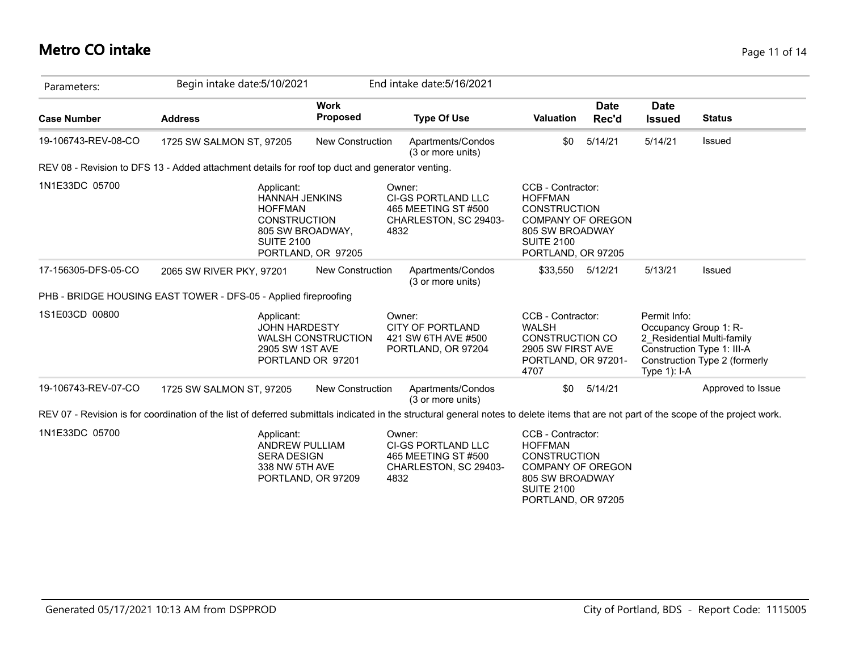## **Metro CO intake** Page 11 of 14

| Parameters:         | Begin intake date: 5/10/2021                                                                                                                                                           |                                | End intake date: 5/16/2021                                                                  |                                                                                                                                                      |                                 |                                                                                                                    |
|---------------------|----------------------------------------------------------------------------------------------------------------------------------------------------------------------------------------|--------------------------------|---------------------------------------------------------------------------------------------|------------------------------------------------------------------------------------------------------------------------------------------------------|---------------------------------|--------------------------------------------------------------------------------------------------------------------|
| <b>Case Number</b>  | <b>Address</b>                                                                                                                                                                         | <b>Work</b><br><b>Proposed</b> | <b>Type Of Use</b>                                                                          | <b>Date</b><br>Rec'd<br><b>Valuation</b>                                                                                                             | <b>Date</b><br><b>Issued</b>    | <b>Status</b>                                                                                                      |
| 19-106743-REV-08-CO | 1725 SW SALMON ST, 97205                                                                                                                                                               | <b>New Construction</b>        | Apartments/Condos<br>(3 or more units)                                                      | 5/14/21<br>\$0                                                                                                                                       | 5/14/21                         | Issued                                                                                                             |
|                     | REV 08 - Revision to DFS 13 - Added attachment details for roof top duct and generator venting.                                                                                        |                                |                                                                                             |                                                                                                                                                      |                                 |                                                                                                                    |
| 1N1E33DC 05700      | Applicant:<br><b>HANNAH JENKINS</b><br><b>HOFFMAN</b><br><b>CONSTRUCTION</b><br>805 SW BROADWAY,<br><b>SUITE 2100</b>                                                                  | PORTLAND, OR 97205             | Owner:<br><b>CI-GS PORTLAND LLC</b><br>465 MEETING ST #500<br>CHARLESTON, SC 29403-<br>4832 | CCB - Contractor:<br><b>HOFFMAN</b><br><b>CONSTRUCTION</b><br><b>COMPANY OF OREGON</b><br>805 SW BROADWAY<br><b>SUITE 2100</b><br>PORTLAND, OR 97205 |                                 |                                                                                                                    |
| 17-156305-DFS-05-CO | 2065 SW RIVER PKY, 97201                                                                                                                                                               | New Construction               | Apartments/Condos<br>(3 or more units)                                                      | 5/12/21<br>\$33,550                                                                                                                                  | 5/13/21                         | Issued                                                                                                             |
|                     | PHB - BRIDGE HOUSING EAST TOWER - DFS-05 - Applied fireproofing                                                                                                                        |                                |                                                                                             |                                                                                                                                                      |                                 |                                                                                                                    |
| 1S1E03CD 00800      | Applicant:<br><b>JOHN HARDESTY</b><br>2905 SW 1ST AVE<br>PORTLAND OR 97201                                                                                                             | <b>WALSH CONSTRUCTION</b>      | Owner:<br><b>CITY OF PORTLAND</b><br>421 SW 6TH AVE #500<br>PORTLAND, OR 97204              | CCB - Contractor:<br><b>WALSH</b><br><b>CONSTRUCTION CO</b><br>2905 SW FIRST AVE<br>PORTLAND, OR 97201-<br>4707                                      | Permit Info:<br>Type $1$ ): I-A | Occupancy Group 1: R-<br>2_Residential Multi-family<br>Construction Type 1: III-A<br>Construction Type 2 (formerly |
| 19-106743-REV-07-CO | 1725 SW SALMON ST, 97205                                                                                                                                                               | <b>New Construction</b>        | Apartments/Condos<br>(3 or more units)                                                      | 5/14/21<br>\$0                                                                                                                                       |                                 | Approved to Issue                                                                                                  |
|                     | REV 07 - Revision is for coordination of the list of deferred submittals indicated in the structural general notes to delete items that are not part of the scope of the project work. |                                |                                                                                             |                                                                                                                                                      |                                 |                                                                                                                    |
| 1N1E33DC 05700      | Applicant:<br><b>ANDREW PULLIAM</b><br><b>SERA DESIGN</b><br>338 NW 5TH AVE                                                                                                            | PORTLAND, OR 97209             | Owner:<br><b>CI-GS PORTLAND LLC</b><br>465 MEETING ST #500<br>CHARLESTON, SC 29403-<br>4832 | CCB - Contractor:<br><b>HOFFMAN</b><br><b>CONSTRUCTION</b><br><b>COMPANY OF OREGON</b><br>805 SW BROADWAY                                            |                                 |                                                                                                                    |

SUITE 2100

PORTLAND, OR 97205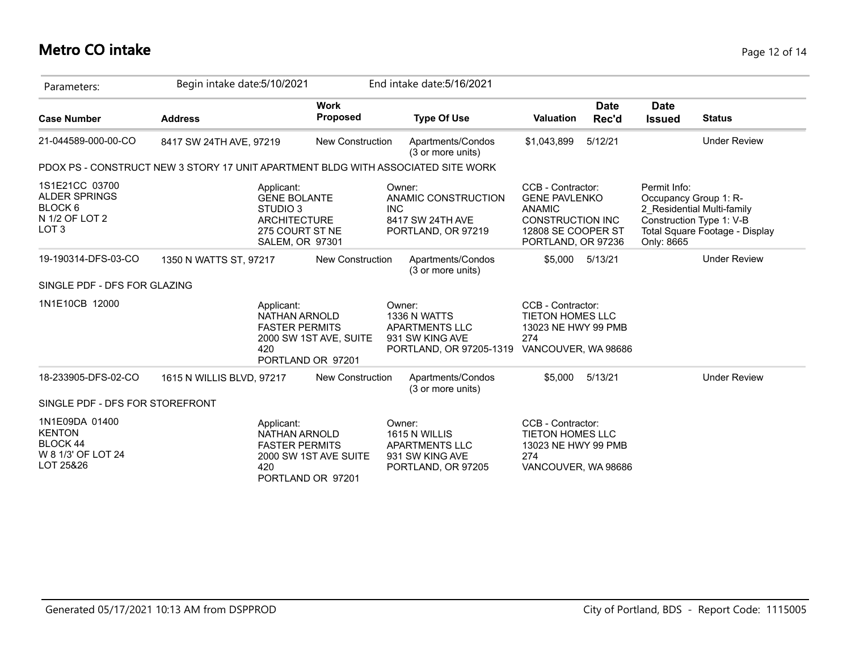## **Metro CO intake** Page 12 of 14

| Parameters:                                                                             | Begin intake date: 5/10/2021                                                                               |                                             | End intake date: 5/16/2021                                                             |                                                                                                                                   |                      |                                                                                 |                                                              |
|-----------------------------------------------------------------------------------------|------------------------------------------------------------------------------------------------------------|---------------------------------------------|----------------------------------------------------------------------------------------|-----------------------------------------------------------------------------------------------------------------------------------|----------------------|---------------------------------------------------------------------------------|--------------------------------------------------------------|
| <b>Case Number</b>                                                                      | <b>Address</b>                                                                                             | <b>Work</b><br>Proposed                     | <b>Type Of Use</b>                                                                     | <b>Valuation</b>                                                                                                                  | <b>Date</b><br>Rec'd | <b>Date</b><br><b>Issued</b>                                                    | <b>Status</b>                                                |
| 21-044589-000-00-CO                                                                     | 8417 SW 24TH AVE, 97219                                                                                    | New Construction                            | Apartments/Condos<br>(3 or more units)                                                 | \$1,043,899                                                                                                                       | 5/12/21              |                                                                                 | <b>Under Review</b>                                          |
|                                                                                         | PDOX PS - CONSTRUCT NEW 3 STORY 17 UNIT APARTMENT BLDG WITH ASSOCIATED SITE WORK                           |                                             |                                                                                        |                                                                                                                                   |                      |                                                                                 |                                                              |
| 1S1E21CC 03700<br><b>ALDER SPRINGS</b><br>BLOCK 6<br>N 1/2 OF LOT 2<br>LOT <sub>3</sub> | Applicant:<br><b>GENE BOLANTE</b><br>STUDIO 3<br><b>ARCHITECTURE</b><br>275 COURT ST NE<br>SALEM, OR 97301 |                                             | Owner:<br>ANAMIC CONSTRUCTION<br><b>INC</b><br>8417 SW 24TH AVE<br>PORTLAND, OR 97219  | CCB - Contractor:<br><b>GENE PAVLENKO</b><br><b>ANAMIC</b><br><b>CONSTRUCTION INC</b><br>12808 SE COOPER ST<br>PORTLAND, OR 97236 |                      | Permit Info:<br>Occupancy Group 1: R-<br>Construction Type 1: V-B<br>Only: 8665 | 2 Residential Multi-family<br>Total Square Footage - Display |
| 19-190314-DFS-03-CO                                                                     | 1350 N WATTS ST, 97217                                                                                     | <b>New Construction</b>                     | Apartments/Condos<br>(3 or more units)                                                 | \$5,000                                                                                                                           | 5/13/21              |                                                                                 | <b>Under Review</b>                                          |
| SINGLE PDF - DFS FOR GLAZING                                                            |                                                                                                            |                                             |                                                                                        |                                                                                                                                   |                      |                                                                                 |                                                              |
| 1N1E10CB 12000                                                                          | Applicant:<br>NATHAN ARNOLD<br><b>FASTER PERMITS</b><br>420                                                | 2000 SW 1ST AVE, SUITE<br>PORTLAND OR 97201 | Owner:<br>1336 N WATTS<br>APARTMENTS LLC<br>931 SW KING AVE<br>PORTLAND, OR 97205-1319 | CCB - Contractor:<br>TIETON HOMES LLC<br>13023 NE HWY 99 PMB<br>274<br>VANCOUVER, WA 98686                                        |                      |                                                                                 |                                                              |
| 18-233905-DFS-02-CO                                                                     | 1615 N WILLIS BLVD, 97217                                                                                  | <b>New Construction</b>                     | Apartments/Condos<br>(3 or more units)                                                 | \$5,000                                                                                                                           | 5/13/21              |                                                                                 | <b>Under Review</b>                                          |
| SINGLE PDF - DFS FOR STOREFRONT                                                         |                                                                                                            |                                             |                                                                                        |                                                                                                                                   |                      |                                                                                 |                                                              |
| 1N1E09DA 01400<br><b>KENTON</b><br><b>BLOCK 44</b><br>W 8 1/3' OF LOT 24<br>LOT 25&26   | Applicant:<br><b>NATHAN ARNOLD</b><br><b>FASTER PERMITS</b><br>420                                         | 2000 SW 1ST AVE SUITE<br>PORTLAND OR 97201  | Owner:<br>1615 N WILLIS<br>APARTMENTS LLC<br>931 SW KING AVE<br>PORTLAND, OR 97205     | CCB - Contractor:<br><b>TIETON HOMES LLC</b><br>13023 NE HWY 99 PMB<br>274<br>VANCOUVER, WA 98686                                 |                      |                                                                                 |                                                              |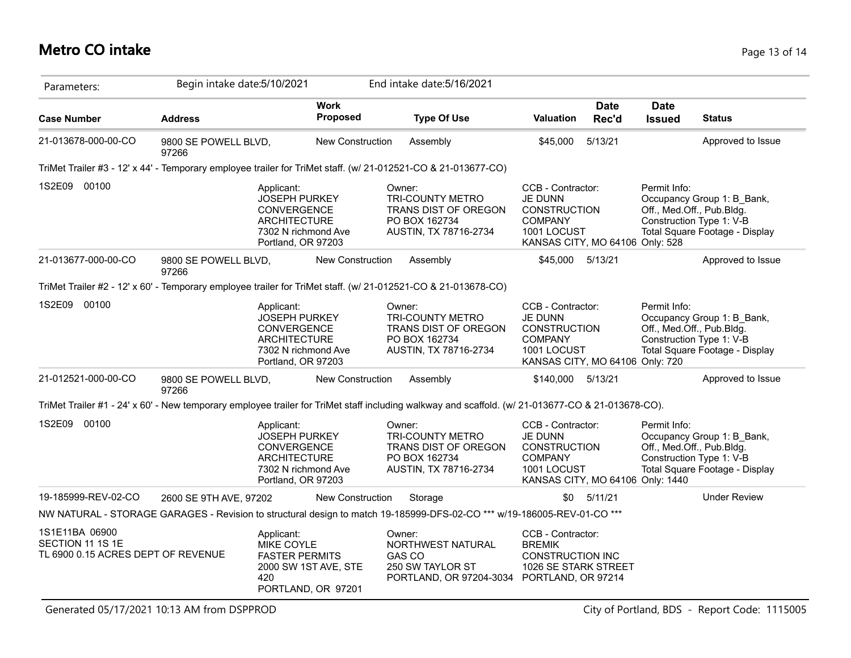## **Metro CO intake** Page 13 of 14

| Parameters:                                                                                                   | Begin intake date: 5/10/2021                                                                                          |                                                                                                                                                                                                                |                                            |  | End intake date: 5/16/2021                                                                                                                        |                                                                                                                                |                                                                                                                                       |                                                                                                                                       |                                                                                                                       |
|---------------------------------------------------------------------------------------------------------------|-----------------------------------------------------------------------------------------------------------------------|----------------------------------------------------------------------------------------------------------------------------------------------------------------------------------------------------------------|--------------------------------------------|--|---------------------------------------------------------------------------------------------------------------------------------------------------|--------------------------------------------------------------------------------------------------------------------------------|---------------------------------------------------------------------------------------------------------------------------------------|---------------------------------------------------------------------------------------------------------------------------------------|-----------------------------------------------------------------------------------------------------------------------|
| <b>Case Number</b>                                                                                            | <b>Address</b>                                                                                                        |                                                                                                                                                                                                                | <b>Work</b><br>Proposed                    |  | <b>Type Of Use</b>                                                                                                                                | <b>Valuation</b>                                                                                                               | <b>Date</b><br>Rec'd                                                                                                                  | <b>Date</b><br><b>Issued</b>                                                                                                          | <b>Status</b>                                                                                                         |
| 21-013678-000-00-CO                                                                                           | 9800 SE POWELL BLVD,<br>97266                                                                                         |                                                                                                                                                                                                                | <b>New Construction</b>                    |  | Assembly                                                                                                                                          | \$45,000                                                                                                                       | 5/13/21                                                                                                                               |                                                                                                                                       | Approved to Issue                                                                                                     |
| TriMet Trailer #3 - 12' x 44' - Temporary employee trailer for TriMet staff. (w/ 21-012521-CO & 21-013677-CO) |                                                                                                                       |                                                                                                                                                                                                                |                                            |  |                                                                                                                                                   |                                                                                                                                |                                                                                                                                       |                                                                                                                                       |                                                                                                                       |
| 1S2E09 00100                                                                                                  |                                                                                                                       | Owner:<br><b>JOSEPH PURKEY</b><br><b>TRI-COUNTY METRO</b><br>CONVERGENCE<br>TRANS DIST OF OREGON<br><b>ARCHITECTURE</b><br>PO BOX 162734<br>AUSTIN, TX 78716-2734<br>7302 N richmond Ave<br>Portland, OR 97203 |                                            |  | CCB - Contractor:<br><b>JE DUNN</b><br><b>CONSTRUCTION</b><br><b>COMPANY</b><br>1001 LOCUST<br>KANSAS CITY, MO 64106 Only: 528                    |                                                                                                                                | Permit Info:<br>Occupancy Group 1: B Bank,<br>Off., Med.Off., Pub.Bldg.<br>Construction Type 1: V-B<br>Total Square Footage - Display |                                                                                                                                       |                                                                                                                       |
| 21-013677-000-00-CO                                                                                           | 9800 SE POWELL BLVD,<br>97266                                                                                         |                                                                                                                                                                                                                | New Construction                           |  | Assembly                                                                                                                                          | \$45,000                                                                                                                       | 5/13/21                                                                                                                               |                                                                                                                                       | Approved to Issue                                                                                                     |
| TriMet Trailer #2 - 12' x 60' - Temporary employee trailer for TriMet staff. (w/ 21-012521-CO & 21-013678-CO) |                                                                                                                       |                                                                                                                                                                                                                |                                            |  |                                                                                                                                                   |                                                                                                                                |                                                                                                                                       |                                                                                                                                       |                                                                                                                       |
| 1S2E09 00100                                                                                                  | Applicant:<br><b>JOSEPH PURKEY</b><br>CONVERGENCE<br><b>ARCHITECTURE</b><br>7302 N richmond Ave<br>Portland, OR 97203 |                                                                                                                                                                                                                |                                            |  | Owner:<br><b>TRI-COUNTY METRO</b><br>TRANS DIST OF OREGON<br>PO BOX 162734<br>AUSTIN, TX 78716-2734                                               | CCB - Contractor:<br><b>JE DUNN</b><br><b>CONSTRUCTION</b><br><b>COMPANY</b><br>1001 LOCUST<br>KANSAS CITY, MO 64106 Only: 720 |                                                                                                                                       | Permit Info:<br>Occupancy Group 1: B Bank,<br>Off., Med.Off., Pub.Bldg.<br>Construction Type 1: V-B<br>Total Square Footage - Display |                                                                                                                       |
| 21-012521-000-00-CO                                                                                           | 9800 SE POWELL BLVD,<br>97266                                                                                         |                                                                                                                                                                                                                | <b>New Construction</b>                    |  | Assembly                                                                                                                                          | \$140,000 5/13/21                                                                                                              |                                                                                                                                       |                                                                                                                                       | Approved to Issue                                                                                                     |
|                                                                                                               |                                                                                                                       |                                                                                                                                                                                                                |                                            |  | TriMet Trailer #1 - 24' x 60' - New temporary employee trailer for TriMet staff including walkway and scaffold. (w/ 21-013677-CO & 21-013678-CO). |                                                                                                                                |                                                                                                                                       |                                                                                                                                       |                                                                                                                       |
| 1S2E09 00100                                                                                                  |                                                                                                                       | Applicant:<br><b>JOSEPH PURKEY</b><br>CONVERGENCE<br><b>ARCHITECTURE</b><br>7302 N richmond Ave<br>Portland, OR 97203                                                                                          |                                            |  | Owner:<br><b>TRI-COUNTY METRO</b><br>TRANS DIST OF OREGON<br>PO BOX 162734<br>AUSTIN, TX 78716-2734                                               | CCB - Contractor:<br><b>JE DUNN</b><br><b>CONSTRUCTION</b><br><b>COMPANY</b><br>1001 LOCUST                                    |                                                                                                                                       | Permit Info:<br>KANSAS CITY, MO 64106 Only: 1440                                                                                      | Occupancy Group 1: B_Bank,<br>Off., Med.Off., Pub.Bldg.<br>Construction Type 1: V-B<br>Total Square Footage - Display |
| 19-185999-REV-02-CO                                                                                           | 2600 SE 9TH AVE, 97202                                                                                                |                                                                                                                                                                                                                | <b>New Construction</b>                    |  | Storage                                                                                                                                           | \$0                                                                                                                            | 5/11/21                                                                                                                               |                                                                                                                                       | <b>Under Review</b>                                                                                                   |
|                                                                                                               |                                                                                                                       |                                                                                                                                                                                                                |                                            |  | NW NATURAL - STORAGE GARAGES - Revision to structural design to match 19-185999-DFS-02-CO <sup>***</sup> w/19-186005-REV-01-CO <sup>***</sup>     |                                                                                                                                |                                                                                                                                       |                                                                                                                                       |                                                                                                                       |
| 1S1E11BA 06900<br>SECTION 11 1S 1E<br>TL 6900 0.15 ACRES DEPT OF REVENUE                                      |                                                                                                                       | Applicant:<br>MIKE COYLE<br><b>FASTER PERMITS</b><br>420                                                                                                                                                       | 2000 SW 1ST AVE, STE<br>PORTLAND, OR 97201 |  | Owner:<br>NORTHWEST NATURAL<br><b>GAS CO</b><br>250 SW TAYLOR ST<br>PORTLAND, OR 97204-3034 PORTLAND, OR 97214                                    | CCB - Contractor:<br><b>BREMIK</b><br><b>CONSTRUCTION INC</b><br>1026 SE STARK STREET                                          |                                                                                                                                       |                                                                                                                                       |                                                                                                                       |